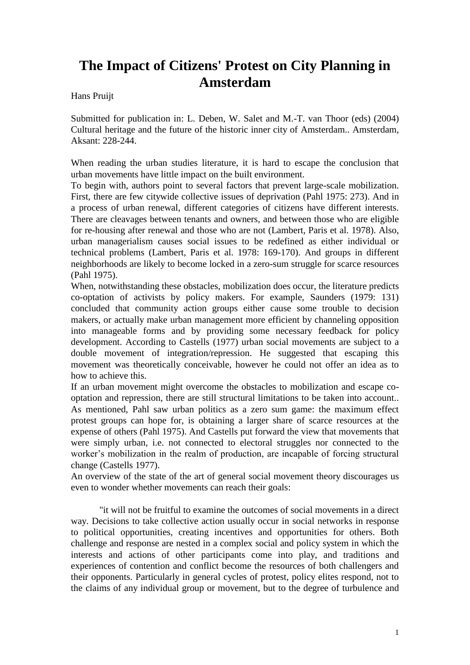# **The Impact of Citizens' Protest on City Planning in Amsterdam**

Hans Pruijt

Submitted for publication in: L. Deben, W. Salet and M.-T. van Thoor (eds) (2004) Cultural heritage and the future of the historic inner city of Amsterdam.. Amsterdam, Aksant: 228-244.

When reading the urban studies literature, it is hard to escape the conclusion that urban movements have little impact on the built environment.

To begin with, authors point to several factors that prevent large-scale mobilization. First, there are few citywide collective issues of deprivation (Pahl 1975: 273). And in a process of urban renewal, different categories of citizens have different interests. There are cleavages between tenants and owners, and between those who are eligible for re-housing after renewal and those who are not (Lambert, Paris et al. 1978). Also, urban managerialism causes social issues to be redefined as either individual or technical problems (Lambert, Paris et al. 1978: 169-170). And groups in different neighborhoods are likely to become locked in a zero-sum struggle for scarce resources (Pahl 1975).

When, notwithstanding these obstacles, mobilization does occur, the literature predicts co-optation of activists by policy makers. For example, Saunders (1979: 131) concluded that community action groups either cause some trouble to decision makers, or actually make urban management more efficient by channeling opposition into manageable forms and by providing some necessary feedback for policy development. According to Castells (1977) urban social movements are subject to a double movement of integration/repression. He suggested that escaping this movement was theoretically conceivable, however he could not offer an idea as to how to achieve this.

If an urban movement might overcome the obstacles to mobilization and escape cooptation and repression, there are still structural limitations to be taken into account.. As mentioned, Pahl saw urban politics as a zero sum game: the maximum effect protest groups can hope for, is obtaining a larger share of scarce resources at the expense of others (Pahl 1975). And Castells put forward the view that movements that were simply urban, i.e. not connected to electoral struggles nor connected to the worker's mobilization in the realm of production, are incapable of forcing structural change (Castells 1977).

An overview of the state of the art of general social movement theory discourages us even to wonder whether movements can reach their goals:

"it will not be fruitful to examine the outcomes of social movements in a direct way. Decisions to take collective action usually occur in social networks in response to political opportunities, creating incentives and opportunities for others. Both challenge and response are nested in a complex social and policy system in which the interests and actions of other participants come into play, and traditions and experiences of contention and conflict become the resources of both challengers and their opponents. Particularly in general cycles of protest, policy elites respond, not to the claims of any individual group or movement, but to the degree of turbulence and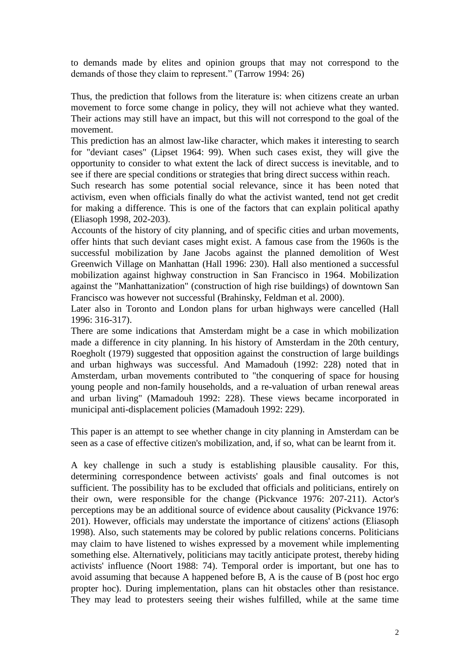to demands made by elites and opinion groups that may not correspond to the demands of those they claim to represent." (Tarrow 1994: 26)

Thus, the prediction that follows from the literature is: when citizens create an urban movement to force some change in policy, they will not achieve what they wanted. Their actions may still have an impact, but this will not correspond to the goal of the movement.

This prediction has an almost law-like character, which makes it interesting to search for "deviant cases" (Lipset 1964: 99). When such cases exist, they will give the opportunity to consider to what extent the lack of direct success is inevitable, and to see if there are special conditions or strategies that bring direct success within reach.

Such research has some potential social relevance, since it has been noted that activism, even when officials finally do what the activist wanted, tend not get credit for making a difference. This is one of the factors that can explain political apathy (Eliasoph 1998, 202-203).

Accounts of the history of city planning, and of specific cities and urban movements, offer hints that such deviant cases might exist. A famous case from the 1960s is the successful mobilization by Jane Jacobs against the planned demolition of West Greenwich Village on Manhattan (Hall 1996: 230). Hall also mentioned a successful mobilization against highway construction in San Francisco in 1964. Mobilization against the "Manhattanization" (construction of high rise buildings) of downtown San Francisco was however not successful (Brahinsky, Feldman et al. 2000).

Later also in Toronto and London plans for urban highways were cancelled (Hall 1996: 316-317).

There are some indications that Amsterdam might be a case in which mobilization made a difference in city planning. In his history of Amsterdam in the 20th century, Roegholt (1979) suggested that opposition against the construction of large buildings and urban highways was successful. And Mamadouh (1992: 228) noted that in Amsterdam, urban movements contributed to "the conquering of space for housing young people and non-family households, and a re-valuation of urban renewal areas and urban living" (Mamadouh 1992: 228). These views became incorporated in municipal anti-displacement policies (Mamadouh 1992: 229).

This paper is an attempt to see whether change in city planning in Amsterdam can be seen as a case of effective citizen's mobilization, and, if so, what can be learnt from it.

A key challenge in such a study is establishing plausible causality. For this, determining correspondence between activists' goals and final outcomes is not sufficient. The possibility has to be excluded that officials and politicians, entirely on their own, were responsible for the change (Pickvance 1976: 207-211). Actor's perceptions may be an additional source of evidence about causality (Pickvance 1976: 201). However, officials may understate the importance of citizens' actions (Eliasoph 1998). Also, such statements may be colored by public relations concerns. Politicians may claim to have listened to wishes expressed by a movement while implementing something else. Alternatively, politicians may tacitly anticipate protest, thereby hiding activists' influence (Noort 1988: 74). Temporal order is important, but one has to avoid assuming that because A happened before B, A is the cause of B (post hoc ergo propter hoc). During implementation, plans can hit obstacles other than resistance. They may lead to protesters seeing their wishes fulfilled, while at the same time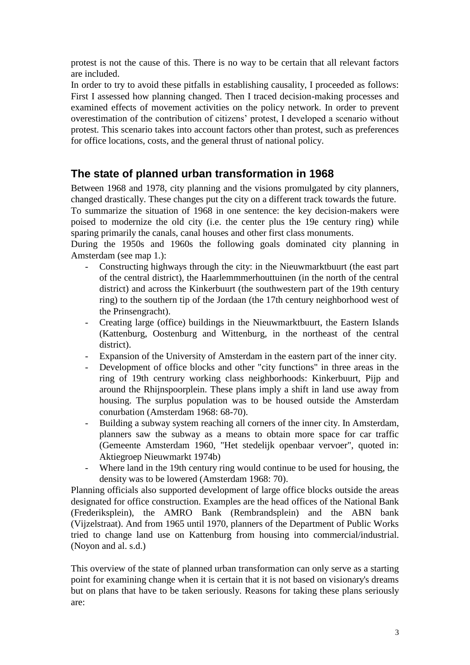protest is not the cause of this. There is no way to be certain that all relevant factors are included.

In order to try to avoid these pitfalls in establishing causality, I proceeded as follows: First I assessed how planning changed. Then I traced decision-making processes and examined effects of movement activities on the policy network. In order to prevent overestimation of the contribution of citizens' protest, I developed a scenario without protest. This scenario takes into account factors other than protest, such as preferences for office locations, costs, and the general thrust of national policy.

## **The state of planned urban transformation in 1968**

Between 1968 and 1978, city planning and the visions promulgated by city planners, changed drastically. These changes put the city on a different track towards the future. To summarize the situation of 1968 in one sentence: the key decision-makers were poised to modernize the old city (i.e. the center plus the 19e century ring) while sparing primarily the canals, canal houses and other first class monuments.

During the 1950s and 1960s the following goals dominated city planning in Amsterdam (see map 1.):

- Constructing highways through the city: in the Nieuwmarktbuurt (the east part of the central district), the Haarlemmmerhouttuinen (in the north of the central district) and across the Kinkerbuurt (the southwestern part of the 19th century ring) to the southern tip of the Jordaan (the 17th century neighborhood west of the Prinsengracht).
- Creating large (office) buildings in the Nieuwmarktbuurt, the Eastern Islands (Kattenburg, Oostenburg and Wittenburg, in the northeast of the central district).
- Expansion of the University of Amsterdam in the eastern part of the inner city.
- Development of office blocks and other "city functions" in three areas in the ring of 19th centrury working class neighborhoods: Kinkerbuurt, Pijp and around the Rhijnspoorplein. These plans imply a shift in land use away from housing. The surplus population was to be housed outside the Amsterdam conurbation (Amsterdam 1968: 68-70).
- Building a subway system reaching all corners of the inner city. In Amsterdam, planners saw the subway as a means to obtain more space for car traffic (Gemeente Amsterdam 1960, "Het stedelijk openbaar vervoer", quoted in: Aktiegroep Nieuwmarkt 1974b)
- Where land in the 19th century ring would continue to be used for housing, the density was to be lowered (Amsterdam 1968: 70).

Planning officials also supported development of large office blocks outside the areas designated for office construction. Examples are the head offices of the National Bank (Frederiksplein), the AMRO Bank (Rembrandsplein) and the ABN bank (Vijzelstraat). And from 1965 until 1970, planners of the Department of Public Works tried to change land use on Kattenburg from housing into commercial/industrial. (Noyon and al. s.d.)

This overview of the state of planned urban transformation can only serve as a starting point for examining change when it is certain that it is not based on visionary's dreams but on plans that have to be taken seriously. Reasons for taking these plans seriously are: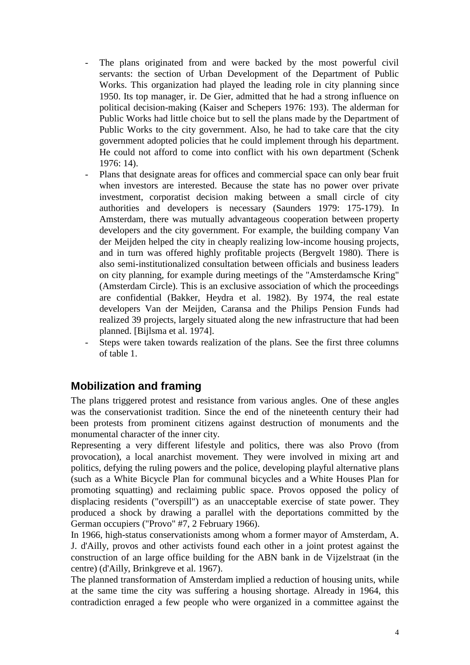- The plans originated from and were backed by the most powerful civil servants: the section of Urban Development of the Department of Public Works. This organization had played the leading role in city planning since 1950. Its top manager, ir. De Gier, admitted that he had a strong influence on political decision-making (Kaiser and Schepers 1976: 193). The alderman for Public Works had little choice but to sell the plans made by the Department of Public Works to the city government. Also, he had to take care that the city government adopted policies that he could implement through his department. He could not afford to come into conflict with his own department (Schenk 1976: 14).
- Plans that designate areas for offices and commercial space can only bear fruit when investors are interested. Because the state has no power over private investment, corporatist decision making between a small circle of city authorities and developers is necessary (Saunders 1979: 175-179). In Amsterdam, there was mutually advantageous cooperation between property developers and the city government. For example, the building company Van der Meijden helped the city in cheaply realizing low-income housing projects, and in turn was offered highly profitable projects (Bergvelt 1980). There is also semi-institutionalized consultation between officials and business leaders on city planning, for example during meetings of the "Amsterdamsche Kring" (Amsterdam Circle). This is an exclusive association of which the proceedings are confidential (Bakker, Heydra et al. 1982). By 1974, the real estate developers Van der Meijden, Caransa and the Philips Pension Funds had realized 39 projects, largely situated along the new infrastructure that had been planned. [Bijlsma et al. 1974].
- Steps were taken towards realization of the plans. See the first three columns of table 1.

### **Mobilization and framing**

The plans triggered protest and resistance from various angles. One of these angles was the conservationist tradition. Since the end of the nineteenth century their had been protests from prominent citizens against destruction of monuments and the monumental character of the inner city.

Representing a very different lifestyle and politics, there was also Provo (from provocation), a local anarchist movement. They were involved in mixing art and politics, defying the ruling powers and the police, developing playful alternative plans (such as a White Bicycle Plan for communal bicycles and a White Houses Plan for promoting squatting) and reclaiming public space. Provos opposed the policy of displacing residents ("overspill") as an unacceptable exercise of state power. They produced a shock by drawing a parallel with the deportations committed by the German occupiers ("Provo" #7, 2 February 1966).

In 1966, high-status conservationists among whom a former mayor of Amsterdam, A. J. d'Ailly, provos and other activists found each other in a joint protest against the construction of an large office building for the ABN bank in de Vijzelstraat (in the centre) (d'Ailly, Brinkgreve et al. 1967).

The planned transformation of Amsterdam implied a reduction of housing units, while at the same time the city was suffering a housing shortage. Already in 1964, this contradiction enraged a few people who were organized in a committee against the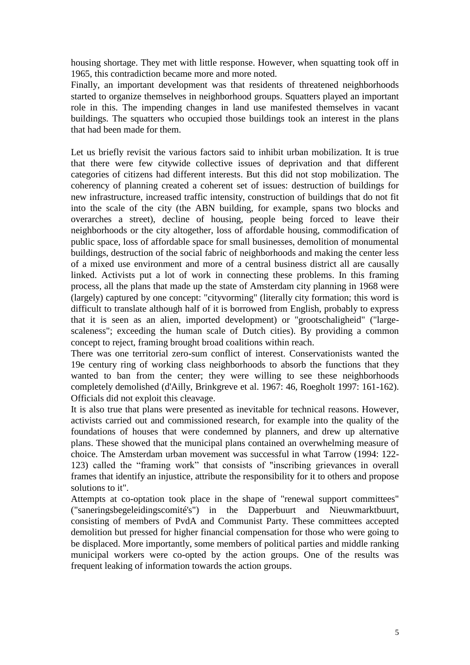housing shortage. They met with little response. However, when squatting took off in 1965, this contradiction became more and more noted.

Finally, an important development was that residents of threatened neighborhoods started to organize themselves in neighborhood groups. Squatters played an important role in this. The impending changes in land use manifested themselves in vacant buildings. The squatters who occupied those buildings took an interest in the plans that had been made for them.

Let us briefly revisit the various factors said to inhibit urban mobilization. It is true that there were few citywide collective issues of deprivation and that different categories of citizens had different interests. But this did not stop mobilization. The coherency of planning created a coherent set of issues: destruction of buildings for new infrastructure, increased traffic intensity, construction of buildings that do not fit into the scale of the city (the ABN building, for example, spans two blocks and overarches a street), decline of housing, people being forced to leave their neighborhoods or the city altogether, loss of affordable housing, commodification of public space, loss of affordable space for small businesses, demolition of monumental buildings, destruction of the social fabric of neighborhoods and making the center less of a mixed use environment and more of a central business district all are causally linked. Activists put a lot of work in connecting these problems. In this framing process, all the plans that made up the state of Amsterdam city planning in 1968 were (largely) captured by one concept: "cityvorming" (literally city formation; this word is difficult to translate although half of it is borrowed from English, probably to express that it is seen as an alien, imported development) or "grootschaligheid" ("largescaleness"; exceeding the human scale of Dutch cities). By providing a common concept to reject, framing brought broad coalitions within reach.

There was one territorial zero-sum conflict of interest. Conservationists wanted the 19e century ring of working class neighborhoods to absorb the functions that they wanted to ban from the center; they were willing to see these neighborhoods completely demolished (d'Ailly, Brinkgreve et al. 1967: 46, Roegholt 1997: 161-162). Officials did not exploit this cleavage.

It is also true that plans were presented as inevitable for technical reasons. However, activists carried out and commissioned research, for example into the quality of the foundations of houses that were condemned by planners, and drew up alternative plans. These showed that the municipal plans contained an overwhelming measure of choice. The Amsterdam urban movement was successful in what Tarrow (1994: 122- 123) called the "framing work" that consists of "inscribing grievances in overall frames that identify an injustice, attribute the responsibility for it to others and propose solutions to it".

Attempts at co-optation took place in the shape of "renewal support committees" ("saneringsbegeleidingscomité's") in the Dapperbuurt and Nieuwmarktbuurt, consisting of members of PvdA and Communist Party. These committees accepted demolition but pressed for higher financial compensation for those who were going to be displaced. More importantly, some members of political parties and middle ranking municipal workers were co-opted by the action groups. One of the results was frequent leaking of information towards the action groups.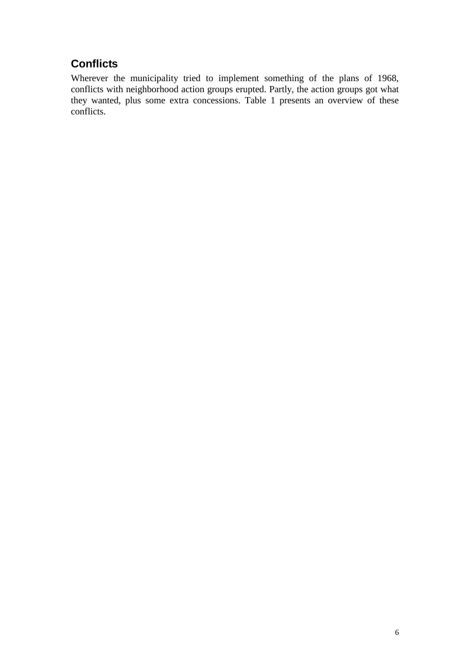## **Conflicts**

Wherever the municipality tried to implement something of the plans of 1968, conflicts with neighborhood action groups erupted. Partly, the action groups got what they wanted, plus some extra concessions. Table 1 presents an overview of these conflicts.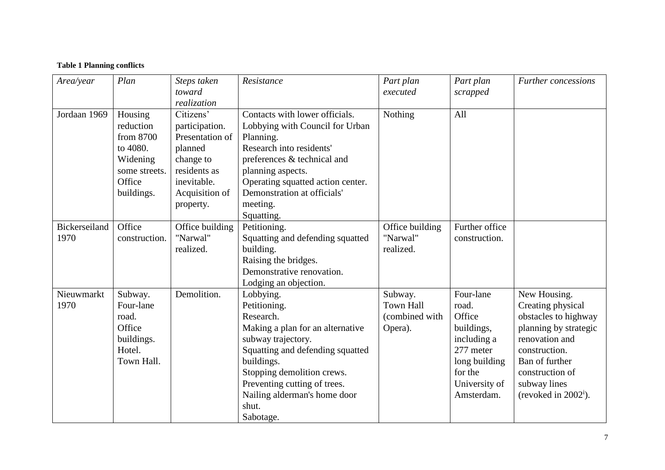#### **Table 1 Planning conflicts**

| Area/year             | Plan                                                                                               | Steps taken<br>toward<br>realization                                                                                                 | Resistance                                                                                                                                                                                                                                                             | Part plan<br>executed                                    | Part plan<br>scrapped                                                                                                             | <b>Further</b> concessions                                                                                                                                                                            |
|-----------------------|----------------------------------------------------------------------------------------------------|--------------------------------------------------------------------------------------------------------------------------------------|------------------------------------------------------------------------------------------------------------------------------------------------------------------------------------------------------------------------------------------------------------------------|----------------------------------------------------------|-----------------------------------------------------------------------------------------------------------------------------------|-------------------------------------------------------------------------------------------------------------------------------------------------------------------------------------------------------|
| Jordaan 1969          | Housing<br>reduction<br>from 8700<br>to 4080.<br>Widening<br>some streets.<br>Office<br>buildings. | Citizens'<br>participation.<br>Presentation of<br>planned<br>change to<br>residents as<br>inevitable.<br>Acquisition of<br>property. | Contacts with lower officials.<br>Lobbying with Council for Urban<br>Planning.<br>Research into residents'<br>preferences & technical and<br>planning aspects.<br>Operating squatted action center.<br>Demonstration at officials'<br>meeting.<br>Squatting.           | Nothing                                                  | All                                                                                                                               |                                                                                                                                                                                                       |
| Bickerseiland<br>1970 | Office<br>construction.                                                                            | Office building<br>"Narwal"<br>realized.                                                                                             | Petitioning.<br>Squatting and defending squatted<br>building.<br>Raising the bridges.<br>Demonstrative renovation.<br>Lodging an objection.                                                                                                                            | Office building<br>"Narwal"<br>realized.                 | Further office<br>construction.                                                                                                   |                                                                                                                                                                                                       |
| Nieuwmarkt<br>1970    | Subway.<br>Four-lane<br>road.<br>Office<br>buildings.<br>Hotel.<br>Town Hall.                      | Demolition.                                                                                                                          | Lobbying.<br>Petitioning.<br>Research.<br>Making a plan for an alternative<br>subway trajectory.<br>Squatting and defending squatted<br>buildings.<br>Stopping demolition crews.<br>Preventing cutting of trees.<br>Nailing alderman's home door<br>shut.<br>Sabotage. | Subway.<br><b>Town Hall</b><br>(combined with<br>Opera). | Four-lane<br>road.<br>Office<br>buildings,<br>including a<br>277 meter<br>long building<br>for the<br>University of<br>Amsterdam. | New Housing.<br>Creating physical<br>obstacles to highway<br>planning by strategic<br>renovation and<br>construction.<br>Ban of further<br>construction of<br>subway lines<br>(revoked in $2002^i$ ). |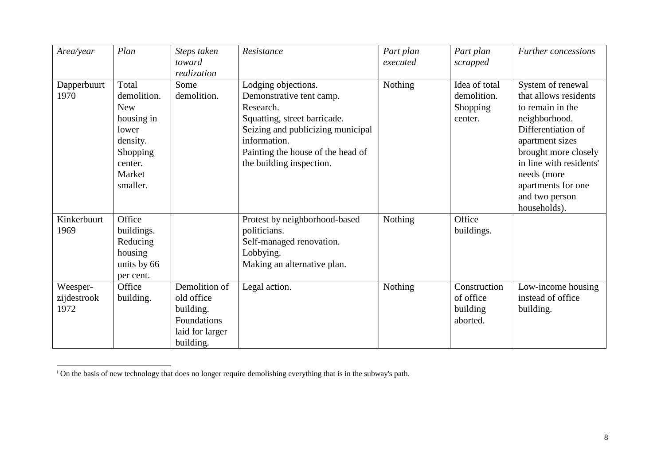| Area/year                       | Plan                                                                                                               | Steps taken<br>toward<br>realization                                                    | Resistance                                                                                                                                                                                                         | Part plan<br>executed | Part plan<br>scrapped                               | <b>Further</b> concessions                                                                                                                                                                                                                         |
|---------------------------------|--------------------------------------------------------------------------------------------------------------------|-----------------------------------------------------------------------------------------|--------------------------------------------------------------------------------------------------------------------------------------------------------------------------------------------------------------------|-----------------------|-----------------------------------------------------|----------------------------------------------------------------------------------------------------------------------------------------------------------------------------------------------------------------------------------------------------|
| Dapperbuurt<br>1970             | Total<br>demolition.<br><b>New</b><br>housing in<br>lower<br>density.<br>Shopping<br>center.<br>Market<br>smaller. | Some<br>demolition.                                                                     | Lodging objections.<br>Demonstrative tent camp.<br>Research.<br>Squatting, street barricade.<br>Seizing and publicizing municipal<br>information.<br>Painting the house of the head of<br>the building inspection. | Nothing               | Idea of total<br>demolition.<br>Shopping<br>center. | System of renewal<br>that allows residents<br>to remain in the<br>neighborhood.<br>Differentiation of<br>apartment sizes<br>brought more closely<br>in line with residents'<br>needs (more<br>apartments for one<br>and two person<br>households). |
| Kinkerbuurt<br>1969             | Office<br>buildings.<br>Reducing<br>housing<br>units by 66<br>per cent.                                            |                                                                                         | Protest by neighborhood-based<br>politicians.<br>Self-managed renovation.<br>Lobbying.<br>Making an alternative plan.                                                                                              | Nothing               | Office<br>buildings.                                |                                                                                                                                                                                                                                                    |
| Weesper-<br>zijdestrook<br>1972 | Office<br>building.                                                                                                | Demolition of<br>old office<br>building.<br>Foundations<br>laid for larger<br>building. | Legal action.                                                                                                                                                                                                      | Nothing               | Construction<br>of office<br>building<br>aborted.   | Low-income housing<br>instead of office<br>building.                                                                                                                                                                                               |

<sup>i</sup> On the basis of new technology that does no longer require demolishing everything that is in the subway's path.

-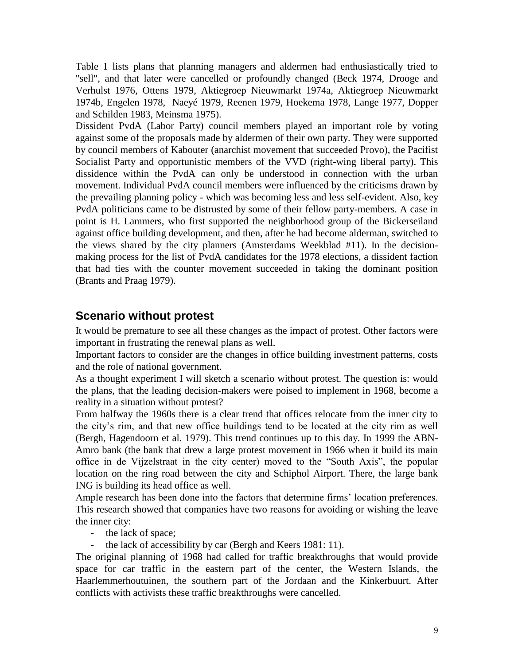Table 1 lists plans that planning managers and aldermen had enthusiastically tried to "sell", and that later were cancelled or profoundly changed (Beck 1974, Drooge and Verhulst 1976, Ottens 1979, Aktiegroep Nieuwmarkt 1974a, Aktiegroep Nieuwmarkt 1974b, Engelen 1978, Naeyé 1979, Reenen 1979, Hoekema 1978, Lange 1977, Dopper and Schilden 1983, Meinsma 1975).

Dissident PvdA (Labor Party) council members played an important role by voting against some of the proposals made by aldermen of their own party. They were supported by council members of Kabouter (anarchist movement that succeeded Provo), the Pacifist Socialist Party and opportunistic members of the VVD (right-wing liberal party). This dissidence within the PvdA can only be understood in connection with the urban movement. Individual PvdA council members were influenced by the criticisms drawn by the prevailing planning policy - which was becoming less and less self-evident. Also, key PvdA politicians came to be distrusted by some of their fellow party-members. A case in point is H. Lammers, who first supported the neighborhood group of the Bickerseiland against office building development, and then, after he had become alderman, switched to the views shared by the city planners (Amsterdams Weekblad #11). In the decisionmaking process for the list of PvdA candidates for the 1978 elections, a dissident faction that had ties with the counter movement succeeded in taking the dominant position (Brants and Praag 1979).

### **Scenario without protest**

It would be premature to see all these changes as the impact of protest. Other factors were important in frustrating the renewal plans as well.

Important factors to consider are the changes in office building investment patterns, costs and the role of national government.

As a thought experiment I will sketch a scenario without protest. The question is: would the plans, that the leading decision-makers were poised to implement in 1968, become a reality in a situation without protest?

From halfway the 1960s there is a clear trend that offices relocate from the inner city to the city's rim, and that new office buildings tend to be located at the city rim as well (Bergh, Hagendoorn et al. 1979). This trend continues up to this day. In 1999 the ABN-Amro bank (the bank that drew a large protest movement in 1966 when it build its main office in de Vijzelstraat in the city center) moved to the "South Axis", the popular location on the ring road between the city and Schiphol Airport. There, the large bank ING is building its head office as well.

Ample research has been done into the factors that determine firms' location preferences. This research showed that companies have two reasons for avoiding or wishing the leave the inner city:

- the lack of space;
- the lack of accessibility by car (Bergh and Keers 1981: 11).

The original planning of 1968 had called for traffic breakthroughs that would provide space for car traffic in the eastern part of the center, the Western Islands, the Haarlemmerhoutuinen, the southern part of the Jordaan and the Kinkerbuurt. After conflicts with activists these traffic breakthroughs were cancelled.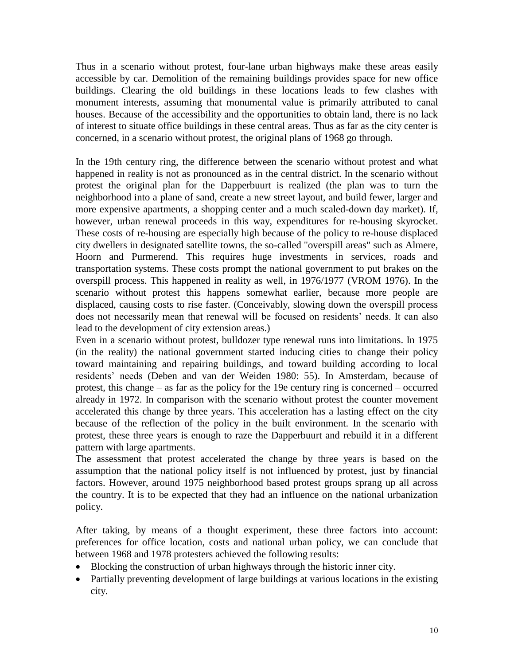Thus in a scenario without protest, four-lane urban highways make these areas easily accessible by car. Demolition of the remaining buildings provides space for new office buildings. Clearing the old buildings in these locations leads to few clashes with monument interests, assuming that monumental value is primarily attributed to canal houses. Because of the accessibility and the opportunities to obtain land, there is no lack of interest to situate office buildings in these central areas. Thus as far as the city center is concerned, in a scenario without protest, the original plans of 1968 go through.

In the 19th century ring, the difference between the scenario without protest and what happened in reality is not as pronounced as in the central district. In the scenario without protest the original plan for the Dapperbuurt is realized (the plan was to turn the neighborhood into a plane of sand, create a new street layout, and build fewer, larger and more expensive apartments, a shopping center and a much scaled-down day market). If, however, urban renewal proceeds in this way, expenditures for re-housing skyrocket. These costs of re-housing are especially high because of the policy to re-house displaced city dwellers in designated satellite towns, the so-called "overspill areas" such as Almere, Hoorn and Purmerend. This requires huge investments in services, roads and transportation systems. These costs prompt the national government to put brakes on the overspill process. This happened in reality as well, in 1976/1977 (VROM 1976). In the scenario without protest this happens somewhat earlier, because more people are displaced, causing costs to rise faster. (Conceivably, slowing down the overspill process does not necessarily mean that renewal will be focused on residents' needs. It can also lead to the development of city extension areas.)

Even in a scenario without protest, bulldozer type renewal runs into limitations. In 1975 (in the reality) the national government started inducing cities to change their policy toward maintaining and repairing buildings, and toward building according to local residents' needs (Deben and van der Weiden 1980: 55). In Amsterdam, because of protest, this change – as far as the policy for the 19e century ring is concerned – occurred already in 1972. In comparison with the scenario without protest the counter movement accelerated this change by three years. This acceleration has a lasting effect on the city because of the reflection of the policy in the built environment. In the scenario with protest, these three years is enough to raze the Dapperbuurt and rebuild it in a different pattern with large apartments.

The assessment that protest accelerated the change by three years is based on the assumption that the national policy itself is not influenced by protest, just by financial factors. However, around 1975 neighborhood based protest groups sprang up all across the country. It is to be expected that they had an influence on the national urbanization policy.

After taking, by means of a thought experiment, these three factors into account: preferences for office location, costs and national urban policy, we can conclude that between 1968 and 1978 protesters achieved the following results:

- Blocking the construction of urban highways through the historic inner city.
- Partially preventing development of large buildings at various locations in the existing city.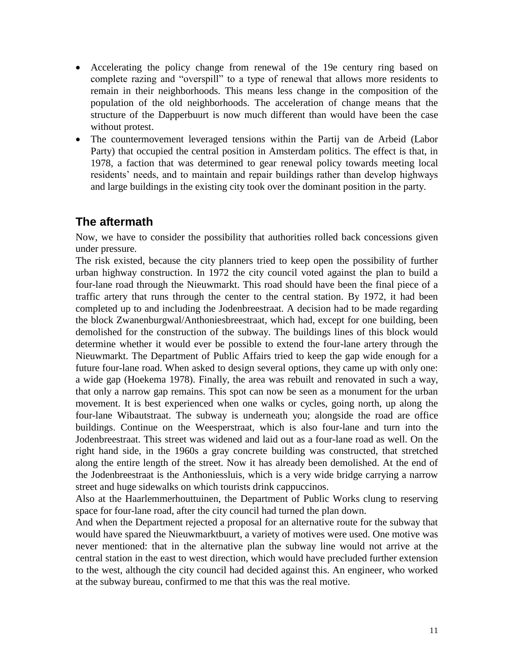- Accelerating the policy change from renewal of the 19e century ring based on complete razing and "overspill" to a type of renewal that allows more residents to remain in their neighborhoods. This means less change in the composition of the population of the old neighborhoods. The acceleration of change means that the structure of the Dapperbuurt is now much different than would have been the case without protest.
- The countermovement leveraged tensions within the Partij van de Arbeid (Labor Party) that occupied the central position in Amsterdam politics. The effect is that, in 1978, a faction that was determined to gear renewal policy towards meeting local residents' needs, and to maintain and repair buildings rather than develop highways and large buildings in the existing city took over the dominant position in the party.

## **The aftermath**

Now, we have to consider the possibility that authorities rolled back concessions given under pressure.

The risk existed, because the city planners tried to keep open the possibility of further urban highway construction. In 1972 the city council voted against the plan to build a four-lane road through the Nieuwmarkt. This road should have been the final piece of a traffic artery that runs through the center to the central station. By 1972, it had been completed up to and including the Jodenbreestraat. A decision had to be made regarding the block Zwanenburgwal/Anthoniesbreestraat, which had, except for one building, been demolished for the construction of the subway. The buildings lines of this block would determine whether it would ever be possible to extend the four-lane artery through the Nieuwmarkt. The Department of Public Affairs tried to keep the gap wide enough for a future four-lane road. When asked to design several options, they came up with only one: a wide gap (Hoekema 1978). Finally, the area was rebuilt and renovated in such a way, that only a narrow gap remains. This spot can now be seen as a monument for the urban movement. It is best experienced when one walks or cycles, going north, up along the four-lane Wibautstraat. The subway is underneath you; alongside the road are office buildings. Continue on the Weesperstraat, which is also four-lane and turn into the Jodenbreestraat. This street was widened and laid out as a four-lane road as well. On the right hand side, in the 1960s a gray concrete building was constructed, that stretched along the entire length of the street. Now it has already been demolished. At the end of the Jodenbreestraat is the Anthoniessluis, which is a very wide bridge carrying a narrow street and huge sidewalks on which tourists drink cappuccinos.

Also at the Haarlemmerhouttuinen, the Department of Public Works clung to reserving space for four-lane road, after the city council had turned the plan down.

And when the Department rejected a proposal for an alternative route for the subway that would have spared the Nieuwmarktbuurt, a variety of motives were used. One motive was never mentioned: that in the alternative plan the subway line would not arrive at the central station in the east to west direction, which would have precluded further extension to the west, although the city council had decided against this. An engineer, who worked at the subway bureau, confirmed to me that this was the real motive.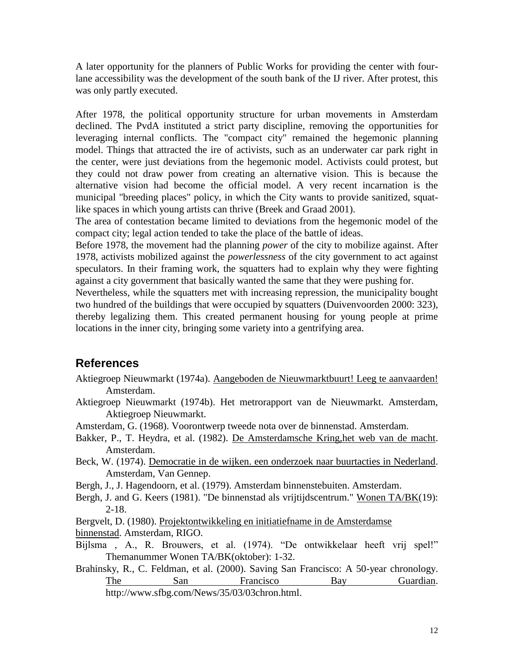A later opportunity for the planners of Public Works for providing the center with fourlane accessibility was the development of the south bank of the IJ river. After protest, this was only partly executed.

After 1978, the political opportunity structure for urban movements in Amsterdam declined. The PvdA instituted a strict party discipline, removing the opportunities for leveraging internal conflicts. The "compact city" remained the hegemonic planning model. Things that attracted the ire of activists, such as an underwater car park right in the center, were just deviations from the hegemonic model. Activists could protest, but they could not draw power from creating an alternative vision. This is because the alternative vision had become the official model. A very recent incarnation is the municipal "breeding places" policy, in which the City wants to provide sanitized, squatlike spaces in which young artists can thrive (Breek and Graad 2001).

The area of contestation became limited to deviations from the hegemonic model of the compact city; legal action tended to take the place of the battle of ideas.

Before 1978, the movement had the planning *power* of the city to mobilize against. After 1978, activists mobilized against the *powerlessness* of the city government to act against speculators. In their framing work, the squatters had to explain why they were fighting against a city government that basically wanted the same that they were pushing for.

Nevertheless, while the squatters met with increasing repression, the municipality bought two hundred of the buildings that were occupied by squatters (Duivenvoorden 2000: 323), thereby legalizing them. This created permanent housing for young people at prime locations in the inner city, bringing some variety into a gentrifying area.

## **References**

- Aktiegroep Nieuwmarkt (1974a). Aangeboden de Nieuwmarktbuurt! Leeg te aanvaarden! Amsterdam.
- Aktiegroep Nieuwmarkt (1974b). Het metrorapport van de Nieuwmarkt. Amsterdam, Aktiegroep Nieuwmarkt.
- Amsterdam, G. (1968). Voorontwerp tweede nota over de binnenstad. Amsterdam.
- Bakker, P., T. Heydra, et al. (1982). De Amsterdamsche Kring,het web van de macht. Amsterdam.
- Beck, W. (1974). Democratie in de wijken. een onderzoek naar buurtacties in Nederland. Amsterdam, Van Gennep.
- Bergh, J., J. Hagendoorn, et al. (1979). Amsterdam binnenstebuiten. Amsterdam.
- Bergh, J. and G. Keers (1981). "De binnenstad als vrijtijdscentrum." Wonen TA/BK(19): 2-18.

Bergvelt, D. (1980). Projektontwikkeling en initiatiefname in de Amsterdamse binnenstad. Amsterdam, RIGO.

- Bijlsma , A., R. Brouwers, et al. (1974). "De ontwikkelaar heeft vrij spel!" Themanummer Wonen TA/BK(oktober): 1-32.
- Brahinsky, R., C. Feldman, et al. (2000). Saving San Francisco: A 50-year chronology. The San Francisco Bay Guardian. http://www.sfbg.com/News/35/03/03chron.html.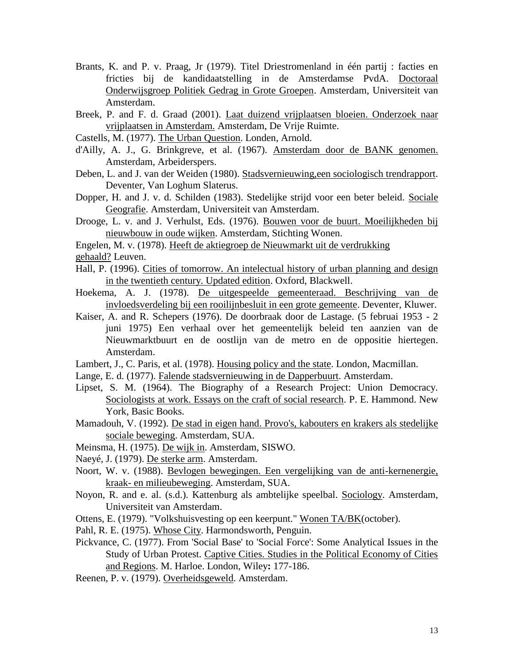- Brants, K. and P. v. Praag, Jr (1979). Titel Driestromenland in één partij : facties en fricties bij de kandidaatstelling in de Amsterdamse PvdA. Doctoraal Onderwijsgroep Politiek Gedrag in Grote Groepen. Amsterdam, Universiteit van Amsterdam.
- Breek, P. and F. d. Graad (2001). Laat duizend vrijplaatsen bloeien. Onderzoek naar vrijplaatsen in Amsterdam. Amsterdam, De Vrije Ruimte.
- Castells, M. (1977). The Urban Question. Londen, Arnold.
- d'Ailly, A. J., G. Brinkgreve, et al. (1967). Amsterdam door de BANK genomen. Amsterdam, Arbeiderspers.
- Deben, L. and J. van der Weiden (1980). Stadsvernieuwing,een sociologisch trendrapport. Deventer, Van Loghum Slaterus.
- Dopper, H. and J. v. d. Schilden (1983). Stedelijke strijd voor een beter beleid. Sociale Geografie. Amsterdam, Universiteit van Amsterdam.
- Drooge, L. v. and J. Verhulst, Eds. (1976). Bouwen voor de buurt. Moeilijkheden bij nieuwbouw in oude wijken. Amsterdam, Stichting Wonen.

Engelen, M. v. (1978). Heeft de aktiegroep de Nieuwmarkt uit de verdrukking gehaald? Leuven.

- Hall, P. (1996). Cities of tomorrow. An intelectual history of urban planning and design in the twentieth century. Updated edition. Oxford, Blackwell.
- Hoekema, A. J. (1978). De uitgespeelde gemeenteraad. Beschrijving van de invloedsverdeling bij een rooilijnbesluit in een grote gemeente. Deventer, Kluwer.
- Kaiser, A. and R. Schepers (1976). De doorbraak door de Lastage. (5 februai 1953 2 juni 1975) Een verhaal over het gemeentelijk beleid ten aanzien van de Nieuwmarktbuurt en de oostlijn van de metro en de oppositie hiertegen. Amsterdam.
- Lambert, J., C. Paris, et al. (1978). Housing policy and the state. London, Macmillan.
- Lange, E. d. (1977). Falende stadsvernieuwing in de Dapperbuurt. Amsterdam.
- Lipset, S. M. (1964). The Biography of a Research Project: Union Democracy. Sociologists at work. Essays on the craft of social research. P. E. Hammond. New York, Basic Books.
- Mamadouh, V. (1992). De stad in eigen hand. Provo's, kabouters en krakers als stedelijke sociale beweging. Amsterdam, SUA.
- Meinsma, H. (1975). De wijk in. Amsterdam, SISWO.
- Naeyé, J. (1979). De sterke arm. Amsterdam.
- Noort, W. v. (1988). Bevlogen bewegingen. Een vergelijking van de anti-kernenergie, kraak- en milieubeweging. Amsterdam, SUA.
- Noyon, R. and e. al. (s.d.). Kattenburg als ambtelijke speelbal. Sociology. Amsterdam, Universiteit van Amsterdam.
- Ottens, E. (1979). "Volkshuisvesting op een keerpunt." Wonen TA/BK(october).
- Pahl, R. E. (1975). Whose City. Harmondsworth, Penguin.
- Pickvance, C. (1977). From 'Social Base' to 'Social Force': Some Analytical Issues in the Study of Urban Protest. Captive Cities. Studies in the Political Economy of Cities and Regions. M. Harloe. London, Wiley**:** 177-186.
- Reenen, P. v. (1979). Overheidsgeweld. Amsterdam.